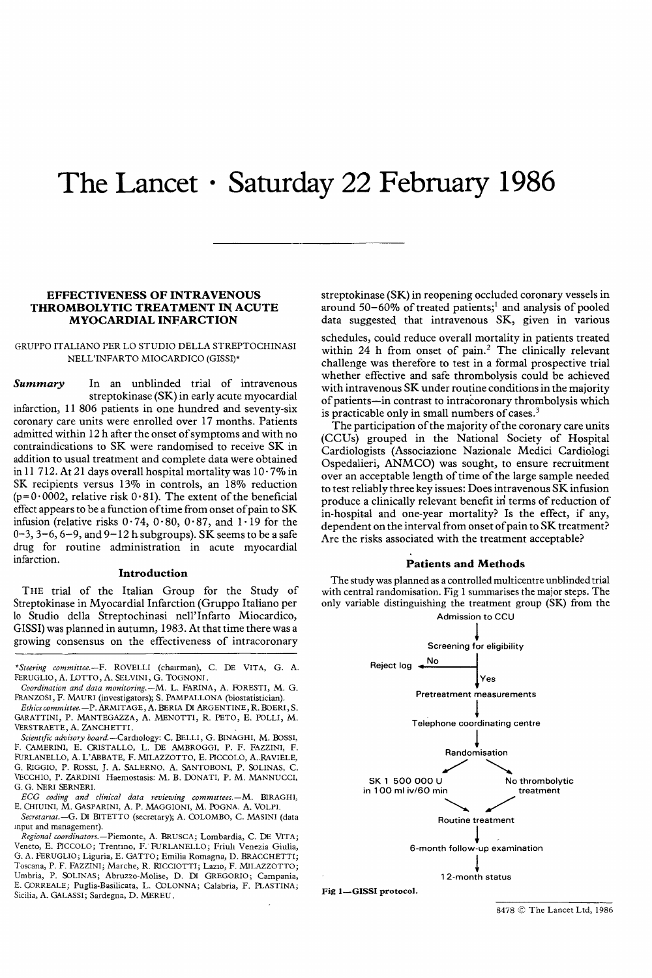# The Lancet  $\cdot$  Saturday 22 February 1986

# EFFECTIVENESS OF INTRAVENOUS THROMBOLYTIC TREATMENT IN ACUTE MYOCARDIAL INFARCTION

# GRUPPO ITALIANO PER LO STUDIO DELLA STREPTOCHINASI NELL'INFARTO MIOCARDICO (GISSI)\*

Summary In an unblinded trial of intravenous streptokinase (SK) in early acute myocardial infarction, 11 806 patients in one hundred and seventy-six coronary care units were enrolled over 17 months. Patients admitted within 12 h after the onset of symptoms and with no contraindications to SK were randomised to receive SK in addition to usual treatment and complete data were obtained in 11 712. At 21 days overall hospital mortality was  $10.7\%$  in SK recipients versus 13% in controls, an 18% reduction  $(p=0.0002,$  relative risk  $0.81$ ). The extent of the beneficial effect appears to be a function of time from onset of pain to SK infusion (relative risks  $0.74$ ,  $0.80$ ,  $0.87$ , and  $1.19$  for the  $0-3$ ,  $3-6$ ,  $6-9$ , and  $9-12$  h subgroups). SK seems to be a safe drug for routine administration in acute myocardial infarction.

# Introduction

THE trial of the Italian Group for the Study of Streptokinase in Myocardial Infarction (Gruppo Italiano per lo Studio della Streptochinasi nell'Infarto Miocardico, GISSI) was planned in autumn, 1983. At that time there was a growing consensus on the effectiveness of intracoronary

VERSTRAETE, A. ZANCHETTI.<br>Scientific advisory board.—Cardiology: C. BELLI, G. BINAGHI, M. BOSSI, F. CAMERINI, E. CRISTALLO, L. DE AMBROGGI, P. F. FAZZINI, F. FURLANELLO, A. L'ABBATE, F. MILAZZOTTO, E. PICCOLO, A. RAVIELE, G. RIGGIO, P. ROSSI, J. A. SALERNO, A. SANTOBONI, P. SOLINAS, C. VECCHIO, P. ZARDINI Haemostasis: M. B. DONATI, P. M. MANNUCCI, G. G. NERI SERNERI.

ECG coding and clinical data reviewing committees.—M. BIRAGHI, E. CHIUINI, M. GASPARINI, A. P. MAGGIONI, M. POGNA. A. VOLPI.

Secretariat.-G. DI BITETTO (secretary); A. COLOMBO, C. MASINI (data input and management).

Regional coordinators.—Piemonte, A. BRUSCA; Lombardia, C. DE VITA; Veneto, E. PICCOLO; Trentino, F. FURLANELLO; Friuli Venezia Giulia, G. A. FERUGLIO; Liguria, E. GATTO; Emilia Romagna, D. BRACCHETTI; Toscana, P. F. FAZZINI; Marche, R. RICCIOTTI; Lazio, F. MILAZZOTTO; Umbria, P. SOLINAS; Abruzzo-Molise, D. DI GREGORIO; Campania, E. CORREALE; Puglia-Basilicata, L. COLONNA; Calabria, F. PLASTINA; Sicilia, A. GALASSI; Sardegna, D. MEREU.

streptokinase (SK) in reopening occluded coronary vessels in around 50-60% of treated patients;<sup>1</sup> and analysis of pooled data suggested that intravenous SK, given in various

schedules, could reduce overall mortality in patients treated within 24 h from onset of pain.<sup>2</sup> The clinically relevant challenge was therefore to test in a formal prospective trial whether effective and safe thrombolysis could be achieved with intravenous SK under routine conditions in the majority of patients-in contrast to intracoronary thrombolysis which is practicable only in small numbers of cases. $3$ 

The participation of the majority of the coronary care units (CCUs) grouped in the National Society of Hospital Cardiologists (Associazione Nazionale Medici Cardiologi Ospedalieri, ANMCO) was sought, to ensure recruitment over an acceptable length of time of the large sample needed to test reliably three key issues: Does intravenous SK infusion produce a clinically relevant benefit in terms of reduction of in-hospital and one-year mortality? Is the effect, if any, dependent on the interval from onset of pain to SK treatment? Are the risks associated with the treatment acceptable?

## Patients and Methods

The study was planned as a controlled multicentre unblinded trial with central randomisation. Fig 1 summarises the major steps. The only variable distinguishing the treatment group (SK) from the



8478 C The Lancet Ltd, 1986

<sup>\*</sup>Steering committee.—F. ROVELLI (chairman), C. DE VITA, G. A. FERUGLIO, A. LOTTO, A. SELVINI, G. TOGNONI.

Coordination and data monitoring.—M. L. FARINA, A. FORESTI, M. G. FRANZOSI, F. MAURI (investigators); S. PAMPALLONA (biostatistician).

Ethics committee.—P. ARMITAGE, A. BERIA DI ARGENTINE, R. BOERI, S. GARATTINI, P. MANTEGAZZA, A. MENOTTI, R. PETO, E. POLLI, M.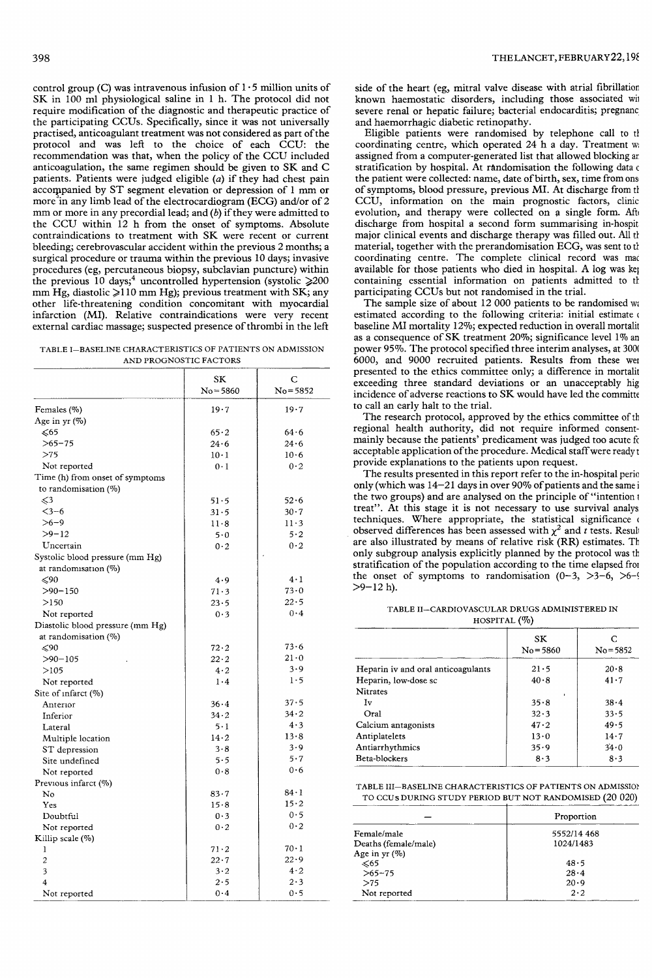control group (C) was intravenous infusion of  $1.5$  million units of SK in 100 ml physiological saline in 1 h. The protocol did not require modification of the diagnostic and therapeutic practice of the participating CCUs. Specifically, since it was not universally practised, anticoagulant treatment was not considered as part of the protocol and was left to the choice of each CCU: the recommendation was that, when the policy of the CCU included anticoagulation, the same regimen should be given to SK and C patients. Patients were judged eligible (a) if they had chest pain accompanied by ST segment elevation or depression of 1 mm or more in any limb lead of the electrocardiogram (ECG) and/or of  $2$ mm or more in any precordial lead; and  $(b)$  if they were admitted to the CCU within 12 h from the onset of symptoms. Absolute contraindications to treatment with SK were recent or current bleeding; cerebrovascular accident within the previous 2 months; a surgical procedure or trauma within the previous 10 days; invasive procedures (eg, percutaneous biopsy, subclavian puncture) within<br>the previous 10 days;<sup>4</sup> uncontrolled hypertension (systolic  $\geq 200$  $t$  mm Hg, diastolic  $\ge$ 110 mm Hg); previous treatment with SK; any other life-threatening condition concomitant with myocardial infarction (MI). Relative contraindications were very recent external cardiac massage; suspected presence of thrombi in the left

TABLE I-BASELINE CHARACTERISTICS OF PATIENTS ON ADMISSION AND PROGNOSTIC FACTORS

|                                  | SK           | С            |
|----------------------------------|--------------|--------------|
|                                  | $No = 5860$  | $No = 5852$  |
| Females (%)                      | 19.7         | 19.7         |
| Age in yr (%)                    |              |              |
| ≪65                              | 65.2         | 64.6         |
| $>65-75$                         | 24.6         | 24.6         |
| >75                              | $10 \cdot 1$ | 10.6         |
| Not reported                     | $0 \cdot 1$  | 0.2          |
| Time (h) from onset of symptoms  |              |              |
| to randomisation $(\%)$          |              |              |
| $\leq 3$                         | 51.5         | 52.6         |
| $3 - 6$                          | 31.5         | 30.7         |
| $>6-9$                           | 11.8         | 11.3         |
| $>9-12$                          | 5.0          | 5.2          |
| Uncertain                        | 0.2          | 0.2          |
| Systolic blood pressure (mm Hg)  |              |              |
| at randomisation (%)             |              |              |
| $\leqslant 90$                   | 4.9          | $4 \cdot 1$  |
| $>90 - 150$                      |              | 73.0         |
| >150                             | 71.3         | 22.5         |
|                                  | 23.5         | 0.4          |
| Not reported                     | 0.3          |              |
| Diastolic blood pressure (mm Hg) |              |              |
| at randomisation (%)<br>≤90      | 72.2         | 73.6         |
| $> 90 - 105$                     | 22.2         | $21 - 0$     |
|                                  | 4.2          | 3.9          |
| >105                             | 1.4          | 1.5          |
| Not reported                     |              |              |
| Site of infarct $(\%)$           | 36.4         | 37.5         |
| Anterior                         | $34 - 2$     | 34.2         |
| Inferior                         | 5·1          | 4.3          |
| Lateral                          | $14 - 2$     | 13.8         |
| Multiple location                | 3.8          | 3.9          |
| ST depression<br>Site undefined  | 5.5          | 5.7          |
|                                  | 0.8          | 0.6          |
| Not reported                     |              |              |
| Previous infarct (%)<br>No       | 83.7         | $84-1$       |
| Yes                              | 15.8         | 15.2         |
| Doubtful                         | 0.3          | 0.5          |
| Not reported                     | 0.2          | 0.2          |
| Killip scale (%)                 |              |              |
| 1                                | $71 - 2$     | $70 \cdot 1$ |
| $\overline{c}$                   | 22.7         | 22.9         |
| 3                                | $3 - 2$      | 4.2          |
| 4                                | 2.5          | $2 \cdot 3$  |
| Not reported                     | 0.4          | 0.5          |
|                                  |              |              |

side of the heart (eg, mitral valve disease with atrial fibrillation) known haemostatic disorders, including those associated with severe renal or hepatic failure; bacterial endocarditis; pregnancy and haemorrhagic diabetic retinopathy.

Eligible patients were randomised by telephone call to th coordinating centre, which operated 24 h a day. Treatment was assigned from a computer-generated list that allowed blocking an stratification by hospital. At randomisation the following data c the patient were collected: name, date of birth, sex, time from ons of symptoms, blood pressure, previous MI. At discharge from th CCU, information on the main prognostic factors, clinic evolution, and therapy were collected on a single form. After discharge from hospital a second form summarising in-hospit major clinical events and discharge therapy was filled out. All the material, together with the prerandomisation ECG, was sent to th coordinating centre. The complete clinical record was made available for those patients who died in hospital. A log was kept containing essential information on patients admitted to th participating CCUs but not randomised in the trial.

The sample size of about  $12\,000$  patients to be randomised was estimated according to the following criteria: initial estimate of baseline MI mortality 12%; expected reduction in overall mortality as a consequence of SK treatment 20%; significance level 1% and power 95%. The protocol specified three interim analyses, at 3000 6000, and 9000 recruited patients. Results from these wer presented to the ethics committee only; a difference in mortalit exceeding three standard deviations or an unacceptably high incidence of adverse reactions to SK would have led the committe to call an early halt to the trial.

The research protocol, approved by the ethics committee of th regional health authority, did not require informed consentmainly because the patients' predicament was judged too acute for acceptable application of the procedure. Medical staff were ready t provide explanations to the patients upon request.

The results presented in this report refer to the in-hospital period only (which was  $14-21$  days in over 90% of patients and the same in the two groups) and are analysed on the principle of "intention to treat". At this stage it is not necessary to use survival analysi techniques. Where appropriate, the statistical significance of observed differences has been assessed with  $\chi^2$  and t tests. Result are also illustrated by means of relative risk (RR) estimates. The only subgroup analysis explicitly planned by the protocol was th stratification of the population according to the time elapsed from the onset of symptoms to randomisation  $(0-3, >3-6, >6-9)$  $>9-12$  h).

TABLE II-CARDIOVASCULAR DRUGS ADMINISTERED IN

| HOSPITAL $(\%)$                    |                   |                  |  |  |
|------------------------------------|-------------------|------------------|--|--|
|                                    | SK<br>$No = 5860$ | C<br>$No = 5852$ |  |  |
| Heparin iv and oral anticoagulants | 21.5              | $20 - 8$         |  |  |
| Heparin, low-dose sc               | 40.8              | 41.7             |  |  |
| <b>Nitrates</b>                    |                   |                  |  |  |
| Iv                                 | 35.8              | 38.4             |  |  |
| Oral                               | 32.3              | 33.5             |  |  |
| Calcium antagonists                | 47.2              | 49.5             |  |  |
| Antiplatelets                      | 13.0              | 14.7             |  |  |
| Antiarrhythmics                    | 35.9              | 34.0             |  |  |
| Beta-blockers                      | 8.3               | 8.3              |  |  |

TABLE III-BASELINE CHARACTERISTICS OF PATIENTS ON ADMISSION TO CCUs DURING STUDY PERIOD BUT NOT RANDOMISED (20 020)

|                      | Proportion  |
|----------------------|-------------|
| Female/male          | 5552/14 468 |
| Deaths (female/male) | 1024/1483   |
| Age in $yr(%)$       |             |
| $\leq 65$            | 48.5        |
| $>65-75$             | $28 - 4$    |
| >75                  | 20.9        |
| Not reported         | $2 \cdot 2$ |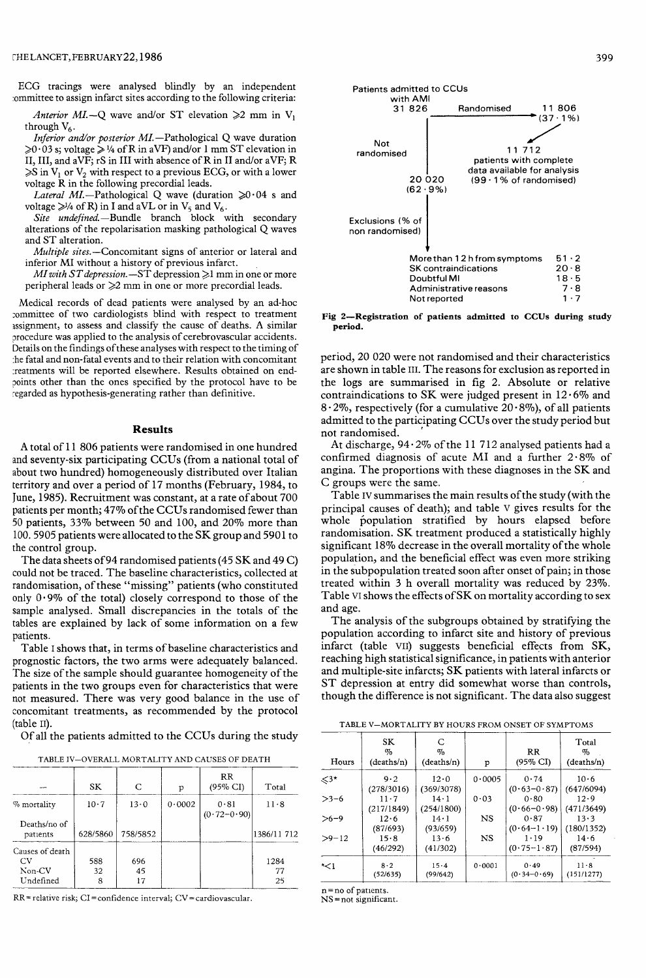ECG tracings were analysed blindly by an independent committee to assign infarct sites according to the following criteria:

Anterior MI.-Q wave and/or ST elevation  $\geq 2$  mm in V<sub>1</sub> through  $V_6$ .

Inferior and/or posterior  $MI$ . - Pathological Q wave duration  $\geqslant$ 0.03 s; voltage  $\geqslant$  1/4 of R in aVF) and/or 1 mm ST elevation in II, III, and aVF; rS in III with absence of R in II and/or aVF; R  $\geq$ S in V<sub>1</sub> or V<sub>2</sub> with respect to a previous ECG, or with a lower voltage R in the following precordial leads.

Lateral MI.-Pathological Q wave (duration  $\geq 0.04$  s and voltage  $\gg$ 1/4 of R) in I and aVL or in V<sub>5</sub> and V<sub>6</sub>.

Site undefined.-Bundle branch block with secondary alterations of the repolarisation masking pathological Q waves and ST alteration.

Multiple sites.-Concomitant signs of anterior or lateral and inferior MI without a history of previous infarct.

MI with ST depression.  $-ST$  depression  $\geq 1$  mm in one or more peripheral leads or  $\geq$  mm in one or more precordial leads.

Medical records of dead patients were analysed by an ad-hoc committee of two cardiologists blind with respect to treatment assignment, to assess and classify the cause of deaths. A similar procedure was applied to the analysis of cerebrovascular accidents. Details on the findings of these analyses with respect to the timing of the fatal and non-fatal events and to their relation with concomitant treatments will be reported elsewhere. Results obtained on endpoints other than the ones specified by the protocol have to be regarded as hypothesis-generating rather than definitive.

## Results

A total of 11 806 patients were randomised in one hundred and seventy-six participating CCUs (from a national total of about two hundred) homogeneously distributed over Italian territory and over a period of 17 months (February, 1984, to June, 1985). Recruitment was constant, at a rate of about 700 patients per month; 47% of the CCUs randomised fewer than 50 patients, 33% between 50 and 100, and 20% more than 100. 5905 patients were allocated to the SK group and 5901 to the control group.

The data sheets of 94 randomised patients (45 SK and 49 C) could not be traced. The baseline characteristics, collected at randomisation, of these "missing" patients (who constituted only  $0.9\%$  of the total) closely correspond to those of the sample analysed. Small discrepancies in the totals of the tables are explained by lack of some information on a few patients.

Table I shows that, in terms of baseline characteristics and prognostic factors, the two arms were adequately balanced. The size of the sample should guarantee homogeneity of the patients in the two groups even for characteristics that were not measured. There was very good balance in the use of concomitant treatments, as recommended by the protocol (table 11).

Of all the patients admitted to the CCUs during the study

TABLE IV-OVERALL MORTALITY AND CAUSES OF DEATH

|                                              | SK             | C               | p      | RR<br>(95% CI)          | Total            |
|----------------------------------------------|----------------|-----------------|--------|-------------------------|------------------|
| % mortality<br>Deaths/no of                  | 10.7           | 13.0            | 0.0002 | 0.81<br>$(0.72 - 0.90)$ | 11.8             |
| patients                                     | 628/5860       | 758/5852        |        |                         | 1386/11 712      |
| Causes of death<br>CV<br>Non-CV<br>Undefined | 588<br>32<br>8 | 696<br>45<br>17 |        |                         | 1284<br>77<br>25 |

 $RR =$  relative risk;  $CI =$  confidence interval;  $CV =$  cardiovascular.



Fig 2-Registration of patients admitted to CCUs during study period.

period, 20 020 were not randomised and their characteristics are shown in table Ili. The reasons for exclusion as reported in the logs are summarised in fig 2. Absolute or relative contraindications to SK were judged present in  $12 \cdot 6\%$  and  $8.2\%$ , respectively (for a cumulative  $20.8\%$ ), of all patients admitted to the participating CCUs over the study period but not randomised. '

At discharge,  $94.2\%$  of the 11 712 analysed patients had a confirmed diagnosis of acute MI and a further  $2.8\%$  of angina. The proportions with these diagnoses in the SK and C groups were the same.

Table IV summarises the main results of the study (with the principal causes of death); and table v gives results for the whole population stratified by hours elapsed before randomisation. SK treatment produced a statistically highly significant 18% decrease in the overall mortality of the whole population, and the beneficial effect was even more striking in the subpopulation treated soon after onset of pain; in those treated within 3 h overall mortality was reduced by 23%. Table VI shows the effects of SK on mortality according to sex and age.

The analysis of the subgroups obtained by stratifying the population according to infarct site and history of previous infarct (table VII) suggests beneficial effects from SK, reaching high statistical significance, in patients with anterior and multiple-site infarcts; SK patients with lateral infarcts or ST depression at entry did somewhat worse than controls, though the difference is not significant. The data also suggest Triple-site infarcts; SK p<br>ression at entry did sort<br>the difference is not sign<br>E V-MORTALITY BY HOUR<br>SK C<br>SK C<br>SK C<br>S

TABLE V-MORTALITY BY HOURS FROM ONSET OF SYMPTOMS

| Hours   | SК<br>%<br>(deaths/n)  | C<br>$\%$<br>(deaths/n)    | р         | <b>RR</b><br>$(95\% \text{ CI})$ | Total<br>%<br>(deaths/n) |
|---------|------------------------|----------------------------|-----------|----------------------------------|--------------------------|
| <3*     | 9.2<br>(278/3016)      | 12.0<br>(369/3078)         | 0.0005    | 0.74<br>$(0.63 - 0.87)$          | 10.6<br>(647/6094)       |
| $>3-6$  | $11 - 7$<br>(217/1849) | $14 \cdot 1$<br>(254/1800) | 0.03      | 0.80<br>$(0.66 - 0.98)$          | 12.9<br>(471/3649)       |
| $>6-9$  | 12.6<br>(87/693)       | $14 \cdot 1$<br>(93/659)   | NS        | 0.87<br>$(0.64-1.19)$            | 13.3<br>(180/1352)       |
| $>9-12$ | 15.8<br>(46/292)       | $13 - 6$<br>(41/302)       | <b>NS</b> | 1.19<br>$(0.75 - 1.87)$          | 14.6<br>(87/594)         |
| *<1     | $8-2$<br>(52/635)      | 15.4<br>(99/642)           | 0.0001    | 0.49<br>$(0.34 - 0.69)$          | 11.8<br>(151/1277)       |

= no of patients.

NS =not significant.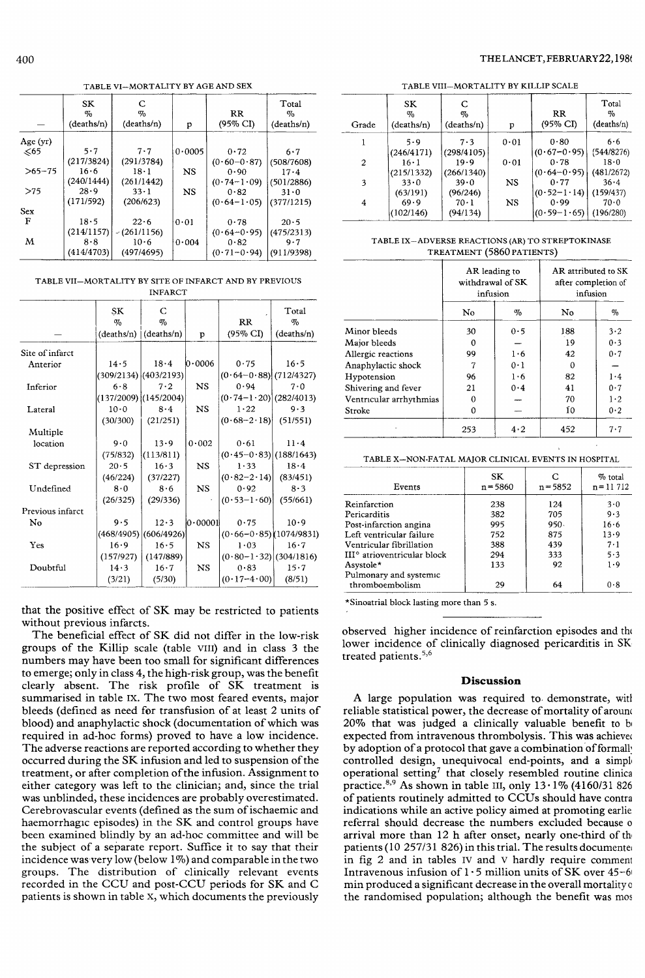## TABLE VI-MORTALITY BY AGE AND SEX

|            | SK<br>$\%$<br>(deaths/n) | C<br>$\%$<br>(deaths/n) | p         | $_{\rm RR}$<br>$(95\% \text{ CI})$ | Total<br>$\%$<br>(deaths/n) |
|------------|--------------------------|-------------------------|-----------|------------------------------------|-----------------------------|
| Age (yr)   |                          |                         |           |                                    |                             |
| $\leq 65$  | 5.7                      | 7.7                     | 0.0005    | 0.72                               | 6.7                         |
|            | (217/3824)               | (291/3784)              |           | $(0.60 - 0.87)$                    | (508/7608)                  |
| $>65-75$   | 16.6                     | $18 \cdot 1$            | <b>NS</b> | $0 - 90$                           | $17 - 4$                    |
|            | (240/1444)               | (261/1442)              |           | $(0.74-1.09)$                      | (501/2886)                  |
| >75        | 28.9                     | $33 \cdot 1$            | NS        | 0.82                               | 31.0                        |
|            | (171/592)                | (206/623)               |           | $(0.64 - 1.05)$                    | (377/1215)                  |
| <b>Sex</b> |                          |                         |           |                                    |                             |
| F          | 18.5                     | 22.6                    | 0.01      | 0.78                               | 20.5                        |
|            | (214/1157)               | $-(261/1156)$           |           | $(0.64 - 0.95)$                    | (475/2313)                  |
| M          | 8.8                      | 10.6                    | 0.004     | 0.82                               | 9.7                         |
|            | (414/4703)               | (497/4695)              |           | $(0.71 - 0.94)$                    | (911/9398)                  |

TABLE VII-MORTALITY BY SITE OF INFARCT AND BY PREVIOUS

| <b>INFARCT</b>   |            |                           |           |                             |              |
|------------------|------------|---------------------------|-----------|-----------------------------|--------------|
|                  | SK         | C                         |           |                             | Total        |
|                  | $\%$       | $\sigma_{0}$              |           | $_{RR}$                     | $\%$         |
|                  |            | $(deaths/n)$ $(deaths/n)$ | p         | (95% CI)                    | (deaths/n)   |
| Site of infarct  |            |                           |           |                             |              |
| Anterior         | 14.5       | 18.4                      | 0.0006    | 0.75                        | 16.5         |
|                  |            | $(309/2134)$ $(403/2193)$ |           | $(0.64 - 0.88)$ (712/4327)  |              |
| Inferior         | 6.8        | 7.2                       | <b>NS</b> | 0.94                        | 7.0          |
|                  |            | $(137/2009)$ $(145/2004)$ |           | $(0.74 - 1.20)$ (282/4013)  |              |
| Lateral          | 10.0       | 8.4                       | <b>NS</b> | 1.22                        | 9.3          |
|                  | (30/300)   | (21/251)                  |           | $(0.68 - 2.18)$ (51/551)    |              |
| Multiple         |            |                           |           |                             |              |
| location         | 9.0        | 13.9                      | 0.002     | 0.61                        | $11 \cdot 4$ |
|                  | (75/832)   | (113/811)                 |           | $(0.45 - 0.83)$ (188/1643)  |              |
| ST depression    | $20 - 5$   | 16.3                      | NS        | 1.33                        | 18.4         |
|                  | (46/224)   | (37/227)                  |           | $(0.82 - 2.14)$             | (83/451)     |
| Undefined        | 8.0        | 8.6                       | <b>NS</b> | 0.92                        | 8.3          |
|                  | (26/325)   | (29/336)                  |           | $(0.53 - 1.60)$             | (55/661)     |
| Previous infarct |            |                           |           |                             |              |
| No               | 9.5        | 12.3                      | 0.00001   | 0.75                        | 10.9         |
|                  | (468/4905) | (606/4926)                |           | $(0.66 - 0.85)$ (1074/9831) |              |
| Yes              | 16.9       | $16 - 5$                  | <b>NS</b> | 1.03                        | 16.7         |
|                  | (157/927)  | (147/889)                 |           | $(0.80-1.32)/(304/1816)$    |              |
| Doubtful         | 14.3       | 16.7                      | <b>NS</b> | 0.83                        | 15.7         |
|                  | (3/21)     | (5/30)                    |           | $(0.17 - 4.00)$             | (8/51)       |

that the positive effect of SK may be restricted to patients without previous infarcts.

The beneficial effect of SK did not differ in the low-risk groups of the Killip scale (table VIII) and in class 3 the numbers may have been too small for significant differences to emerge; only in class 4, the high-risk group, was the benefit clearly absent. The risk profile of SK treatment is summarised in table IX. The two most feared events, major bleeds (defined as need for transfusion of at least 2 units of blood) and anaphylactic shock (documentation of which was required in ad-hoc forms) proved to have a low incidence. The adverse reactions are reported according to whether they occurred during the SK infusion and led to suspension of the treatment, or after completion of the infusion. Assignment to either category was left to the clinician; and, since the trial was unblinded, these incidences are probably overestimated. Cerebrovascular events (defined as the sum of ischaemic and haemorrhagic episodes) in the SK and control groups have been examined blindly by an ad-hoc committee and will be the subject of a separate report. Suffice it to say that their incidence was very low (below 1%) and comparable in the two groups. The distribution of clinically relevant events recorded in the CCU and post-CCU periods for SK and C patients is shown in table x, which documents the previously

## THELANCET, FEBRUARY22, 1986

TABLE VIII-MORTALITY BY KILLIP SCALE

| Grade | SK<br>%<br>(deaths/n) | C<br>$\%$<br>(deaths/n) | p    | RR<br>(95% CI)  | Total<br>$\%$<br>(deaths/n) |
|-------|-----------------------|-------------------------|------|-----------------|-----------------------------|
|       | $5 - 9$               | 7.3                     | 0.01 | 0.80            | 6.6                         |
|       | (246/4171)            | (298/4105)              |      | $(0.67 - 0.95)$ | (544/8276)                  |
| 2     | $16 - 1$              | 19.9                    | 0.01 | 0.78            | 18.0                        |
|       | (215/1332)            | (266/1340)              |      | $(0.64 - 0.95)$ | (481/2672)                  |
| 3     | $33 \cdot 0$          | 39.0                    | NS   | 0.77            | 36.4                        |
|       | (63/191)              | (96/246)                |      | $(0.52 - 1.14)$ | (159/437)                   |
| 4     | 69.9                  | $70 \cdot 1$            | NS   | 0.99            | 70.0                        |
|       | (102/146)             | (94/134)                |      | $(0.59 - 1.65)$ | (196/280)                   |
|       |                       |                         |      |                 |                             |

## TABLE IX-ADVERSE REACTIONS (AR) TO STREPTOKINASE TREATMENT (5860 PATIENTS)

|                         | AR leading to<br>withdrawal of SK<br>infusion |             | AR attributed to SK<br>after completion of<br>infusion |      |
|-------------------------|-----------------------------------------------|-------------|--------------------------------------------------------|------|
|                         | No                                            | $\%$        | No                                                     | $\%$ |
| Minor bleeds            | 30                                            | 0.5         | 188                                                    | 3.2  |
| Major bleeds            | o                                             |             | 19                                                     | 0.3  |
| Allergic reactions      | 99                                            | 1.6         | 42                                                     | 0.7  |
| Anaphylactic shock      | 7                                             | $0 \cdot 1$ | Ω                                                      |      |
| Hypotension             | 96                                            | $1 \cdot 6$ | 82                                                     | 1.4  |
| Shivering and fever     | 21                                            | 0.4         | 41                                                     | 0.7  |
| Ventricular arrhythmias | 0                                             |             | 70                                                     | 1·2  |
| Stroke                  | 0                                             |             | Ĩ0                                                     | 0.2  |
|                         | 253                                           | $4 \cdot 2$ | 452                                                    | 7.7  |

| Events                                    | SK<br>$n = 5860$ | $n = 5852$ | % total<br>$n = 11712$ |
|-------------------------------------------|------------------|------------|------------------------|
| Reinfarction                              | 238              | 124        | 3.0                    |
| Pericarditis                              | 382              | 705        | 9.3                    |
| Post-infarction angina                    | 995              | $950 -$    | 16.6                   |
| Left ventricular failure                  | 752              | 875        | 13.9                   |
| Ventricular fibrillation                  | 388              | 439        | $7 \cdot 1$            |
| III <sup>o</sup> atrioventricular block   | 294              | 333        | 5.3                    |
| Asystole*                                 | 133              | 92         | 1.9                    |
| Pulmonary and systemic<br>thromboembolism | 29               | 64         | 0.8                    |

\*Sinoatrial block lasting more than 5 s.

observed higher incidence of reinfarction episodes and the lower incidence of clinically diagnosed pericarditis in SKtreated patients.<sup>5,6</sup>

#### Discussion

A large population was required to. demonstrate, with reliable statistical power, the decrease of mortality of around 20% that was judged a clinically valuable benefit to be expected from intravenous thrombolysis. This was achieved by adoption of a protocol that gave a combination of formally controlled design, unequivocal end-points, and a simple operational setting<sup>7</sup> that closely resembled routine clinical practice.<sup>8,9</sup> As shown in table III, only  $13 \cdot 1\%$  (4160/31 826) of patients routinely admitted to CCUs should have contraindications while an active policy aimed at promoting earlier referral should decrease the numbers excluded because of arrival more than 12 h after onset, nearly one-third of the patients (10  $257/31826$ ) in this trial. The results documented in fig 2 and in tables IV and V hardly require comment Intravenous infusion of  $1.5$  million units of SK over  $45-60$ min produced a significant decrease in the overall mortality of the randomised population; although the benefit was mos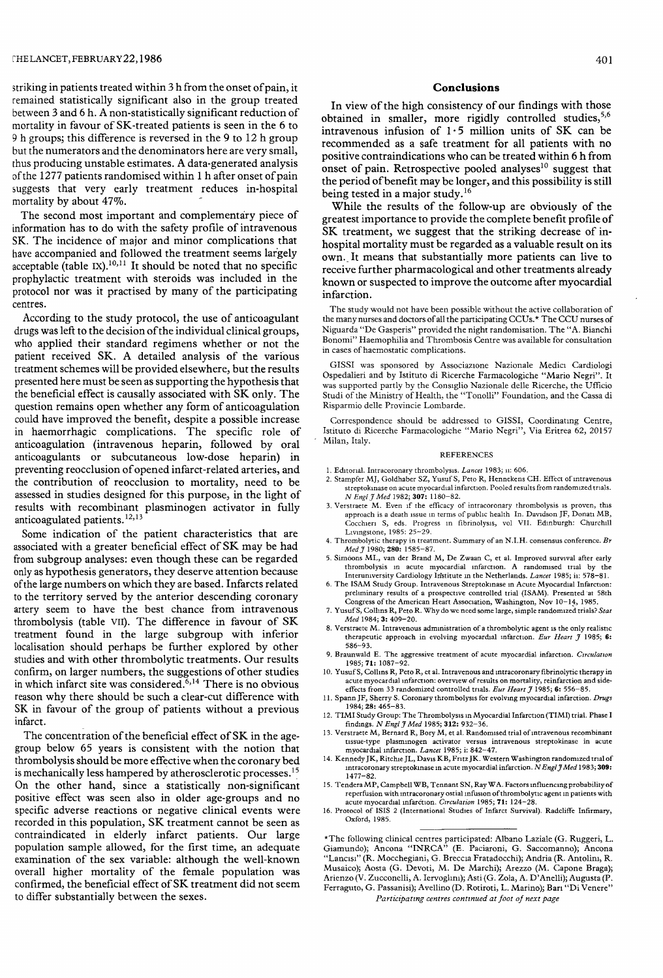striking in patients treated within 3 h from the onset of pain, it remained statistically significant also in the group treated between 3 and 6 h. A non-statistically significant reduction of mortality in favour of SK-treated patients is seen in the 6 to - 9 h groups; this difference is reversed in the 9 to 12 h group but the numerators and the denominators here are very small, thus producing unstable estimates. A data-generated analysis of the 1277 patients randomised within 1 h after onset of pain suggests that very early treatment reduces in-hospital mortality by about 47%.

The second most important and complementary piece of information has to do with the safety profile of intravenous SK. The incidence of major and minor complications that have accompanied and followed the treatment seems largely acceptable (table IX).<sup>10,11</sup> It should be noted that no specific prophylactic treatment with steroids was included in the protocol nor was it practised by many of the participating centres.

According to the study protocol, the use of anticoagulant drugs was left to the decision of the individual clinical groups, who applied their standard regimens whether or not the patient received SK. A detailed analysis of the various treatment schemes will be provided elsewhere, but the results presented here must be seen as supporting the hypothesis that the beneficial effect is causally associated with SK only. The question remains open whether any form of anticoagulation could have improved the benefit, despite a possible increase in haemorrhagic complications. The specific role of anticoagulation (intravenous heparin, followed by oral anticoagulants or subcutaneous low-dose heparin) in preventing reocclusion of opened infarct-related arteries, and the contribution of reocclusion to mortality, need to be assessed in studies designed for this purpose, in the light of results with recombinant plasminogen activator in fully anticoagulated patients.<sup>12,13</sup>

Some indication of the patient characteristics that are associated with a greater beneficial effect of SK may be had from subgroup analyses: even though these can be regarded only as hypothesis generators, they deserve attention because of the large numbers on which they are based. Infarcts related to the territory served by the anterior descending coronary artery seem to have the best chance from intravenous thrombolysis (table VII). The difference in favour of SK treatment found in the large subgroup with inferior localisation should perhaps be further explored by other studies and with other thrombolytic treatments. Our results confirm, on larger numbers, the suggestions of other studies in which infarct site was considered.<sup> $6,14$ </sup> There is no obvious reason why there should be such a clear-cut difference with SK in favour of the group of patients without a previous infarct.

The concentration of the beneficial effect of SK in the agegroup below 65 years is consistent with the notion that thrombolysis should be more effective when the coronary bed is mechanically less hampered by atherosclerotic processes.<sup>15</sup> On the other hand, since a statistically non-significant positive effect was seen also in older age-groups and no specific adverse reactions or negative clinical events were recorded in this population, SK treatment cannot be seen as contraindicated in elderly infarct patients. Our large population sample allowed, for the first time, an adequate examination of the sex variable: although the well-known overall higher mortality of the female population was confirmed, the beneficial effect of SK treatment did not seem to differ substantially between the sexes.

## Conclusions

In view of the high consistency of our findings with those obtained in smaller, more rigidly controlled studies,<sup>5,6</sup> intravenous infusion of  $1.5$  million units of SK can be recommended as a safe treatment for all patients with no positive contraindications who can be treated within 6 h from onset of pain. Retrospective pooled analyses<sup>10</sup> suggest that the period of benefit may be longer, and this possibility is still being tested in a major study.<sup>16</sup>

While the results of the follow-up are obviously of the greatest importance to provide the complete benefit profile of ' SK treatment, we suggest that the striking decrease of inhospital mortality must be regarded as a valuable result on its own. It means that substantially more patients can live to receive further pharmacological and other treatments already known or suspected to improve the outcome after myocardial receive further pharmacological and other treatments already<br>known or suspected to improve the outcome after myocardial<br>infarction.

The study would not have been possible without the active collaboration of the many nurses and doctors of all the participating CCUs.\* The CCU nurses of Niguarda "De Gasperis" provided the night randomisation. The "A. Bianchi Bonomi" Haemophilia and Thrombosis Centre was available for consultation in cases of haemostatic complications.

GISSI was sponsored by Associazione Nazionale Medici Cardiologi Ospedalieri and by Istituto di Ricerche Farmacologiche "Mario Negri". It was supported partly by the Consiglio Nazionale delle Ricerche, the Ufficio Studi of the Ministry of Health, the "Tonolli" Foundation, and the Cassa di Risparmio delle Provincie Lombarde.

Correspondence should be addressed to GISSI, Coordinating Centre, Istituto di Ricerche Farmacologiche "Mario Negri", Via Eritrea 62, 20157 Milan, Italy.

#### REFERENCES

- 1. Editorial. Intracoronary thrombolysis. Lancet 1983; ii: 606.
- 2. Stampfer MJ, Goldhaber SZ, Yusuf S, Peto R, Hennekens CH. Effect of intravenous streptokinase on acute myocardial infarction. Pooled results from randomized trials.<br> $N$  Engl  $\hat{\jmath}$  Med 1982; **307:** 1180–82.
- N Engl J Med 1982; 307: 1180-82. 3. Verstraete M. Even if the efficacy of intracoronary thrombolysis is proven, this approach is a death issue in terms of public health In. Davidson JF, Donati MB, Cocchieri S, eds. Progress in fibrinolysis, vol VII. Edinburgh: Churchill Livingstone, 1985: 25-29.
- 4. Thrombolytic therapy in treatment. Summary of an N.I.H. consensus conference. Br Med 7 1980; 280: 1585-87
- 5. Simoons ML, van der Brand M, De Zwaan C, et al. Improved survival after early thrombolysis in acute myocardial infarction. A randomised trial by the Interuniversity Cardiology Institute in the Netherlands. *Lancet* 1985; ii: 578–81.
- 6. The ISAM Study Group. Intravenous Streptokinase in Acute Myocardial Infarction: preliminary results of a prospective controlled trial (ISAM). Presented at 58th Congress of the American Heart Association, Washington, Nov 10-14, 1985.
- 7. Yusuf S, Collins R, Peto R. Why do we need some large, simple randomized trials? Stat Med 1984; 3: 409-20.
- 8. Verstraete M. Intravenous administration of a thrombolytic agent is the only realistic therapeutic approach in evolving myocardial infarction. Eur Heart  $\tilde{\jmath}$  1985; 6: 586-93.
- 9. Braunwald E. The aggressive treatment of acute myocardial infarction. *Circulation* 1985; **71:** 1087–92.
- 10. Yusuf S, Collins R, Peto R, et al. Intravenous and intracoronary fibrinolytic therapy in acute myocardial infarction: overview of results on mortality, reinfarction and side-effects from 33 randomized controlled trials. Eur Heart J 1985; 6: 556-85.
- 11. Spann JF, Sherry S. Coronary thrombolysis for evolving myocardial infarction. Drugs 1984; 28: 465-83.
- 12. TIMI Study Group: The Thrombolysis in Myocardial Infarction (TIMI) trial. Phase I findings. N Engl J Med 1985; 312: 932-36.
- 13. Verstraete M, Bernard R, Bory M, et al. Randomised trial of intravenous recombinant tissue-type plasminogen activator versus intravenous streptokinase in acute myocardial infarction. Lancet 1985; i: 842-47.
- 14. Kennedy JK, Ritchie JL, Davis KB, Fritz JK. Western Washington randomized trial of intracoronary streptokinase in acute myocardial infarction. N Engl J Med 1983; 309: 1477-82.
- 15. Tendera MP, Campbell WB, Tennant SN, Ray WA. Factors influencing probability of reperfusion with intracoronary ostial infusion of thrombolytic agent in patients with acute myocardial infarction. Circulation 1985; 71: 124-28
- 16. Protocol of ISIS 2 (International Studies of Infarct Survival). Radcliffe Infirmary, Oxford, 1985.

\*The following clinical centres participated: Albano Laziale (G. Ruggeri, L. Giamundo); Ancona "INRCA" (E. Paciaroni, G. Saccomanno); Ancona "Lancisi" (R. Mocchegiani, G. Breccia Fratadocchi); Andria (R. Antolini, R. Musaico); Aosta (G. Devoti, M. De Marchi); Arezzo (M. Capone Braga); Arienzo (V. Zucconelli, A. lervoglmi); Asti (G. Zola, A. D'Anelli); Augusta (P. Ferraguto, G. Passanisi); Avellino (D. Rotiroti, L. Marino); Ban "Di Venere" Participating centres continued at foot of next page